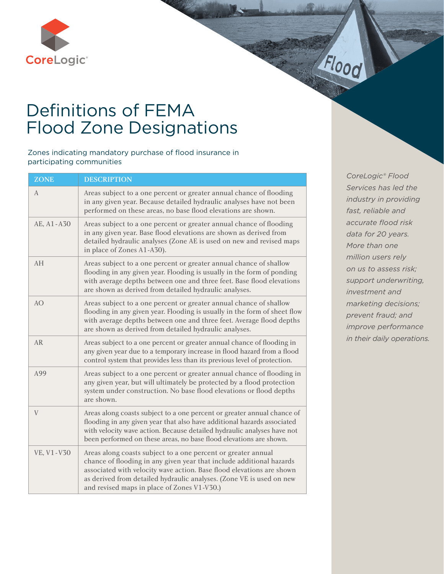

## Definitions of FEMA Flood Zone Designations

Zones indicating mandatory purchase of flood insurance in participating communities

| <b>ZONE</b> | <b>DESCRIPTION</b>                                                                                                                                                                                                                                                                                                                    |
|-------------|---------------------------------------------------------------------------------------------------------------------------------------------------------------------------------------------------------------------------------------------------------------------------------------------------------------------------------------|
| А           | Areas subject to a one percent or greater annual chance of flooding<br>in any given year. Because detailed hydraulic analyses have not been<br>performed on these areas, no base flood elevations are shown.                                                                                                                          |
| AE, A1-A30  | Areas subject to a one percent or greater annual chance of flooding<br>in any given year. Base flood elevations are shown as derived from<br>detailed hydraulic analyses (Zone AE is used on new and revised maps<br>in place of Zones A1-A30).                                                                                       |
| AH          | Areas subject to a one percent or greater annual chance of shallow<br>flooding in any given year. Flooding is usually in the form of ponding<br>with average depths between one and three feet. Base flood elevations<br>are shown as derived from detailed hydraulic analyses.                                                       |
| AO          | Areas subject to a one percent or greater annual chance of shallow<br>flooding in any given year. Flooding is usually in the form of sheet flow<br>with average depths between one and three feet. Average flood depths<br>are shown as derived from detailed hydraulic analyses.                                                     |
| <b>AR</b>   | Areas subject to a one percent or greater annual chance of flooding in<br>any given year due to a temporary increase in flood hazard from a flood<br>control system that provides less than its previous level of protection.                                                                                                         |
| A99         | Areas subject to a one percent or greater annual chance of flooding in<br>any given year, but will ultimately be protected by a flood protection<br>system under construction. No base flood elevations or flood depths<br>are shown.                                                                                                 |
| V           | Areas along coasts subject to a one percent or greater annual chance of<br>flooding in any given year that also have additional hazards associated<br>with velocity wave action. Because detailed hydraulic analyses have not<br>been performed on these areas, no base flood elevations are shown.                                   |
| VE, V1-V30  | Areas along coasts subject to a one percent or greater annual<br>chance of flooding in any given year that include additional hazards<br>associated with velocity wave action. Base flood elevations are shown<br>as derived from detailed hydraulic analyses. (Zone VE is used on new<br>and revised maps in place of Zones V1-V30.) |

*CoreLogic® Flood Services has led the industry in providing fast, reliable and accurate flood risk data for 20 years. More than one million users rely on us to assess risk; support underwriting, investment and marketing decisions; prevent fraud; and improve performance in their daily operations.*

Flood